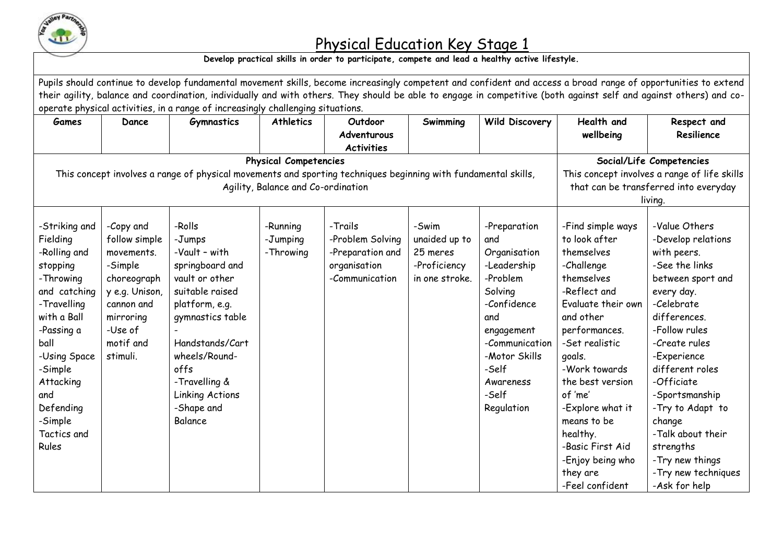

## Physical Education Key Stage 1

## **Develop practical skills in order to participate, compete and lead a healthy active lifestyle.**

| Pupils should continue to develop fundamental movement skills, become increasingly competent and confident and access a broad range of opportunities to extend<br>their agility, balance and coordination, individually and with others. They should be able to engage in competitive (both against self and against others) and co-<br>operate physical activities, in a range of increasingly challenging situations. |                                                                                                                                                     |                                                                                                                                                                                                                                          |                                   |                                                                                   |                                                                      |                                                                                                                                                                                               |                                                                                                                                                                                                                                                                                                                                                    |                                                                                                                                                                                                                                                                                                                                                                      |  |  |
|-------------------------------------------------------------------------------------------------------------------------------------------------------------------------------------------------------------------------------------------------------------------------------------------------------------------------------------------------------------------------------------------------------------------------|-----------------------------------------------------------------------------------------------------------------------------------------------------|------------------------------------------------------------------------------------------------------------------------------------------------------------------------------------------------------------------------------------------|-----------------------------------|-----------------------------------------------------------------------------------|----------------------------------------------------------------------|-----------------------------------------------------------------------------------------------------------------------------------------------------------------------------------------------|----------------------------------------------------------------------------------------------------------------------------------------------------------------------------------------------------------------------------------------------------------------------------------------------------------------------------------------------------|----------------------------------------------------------------------------------------------------------------------------------------------------------------------------------------------------------------------------------------------------------------------------------------------------------------------------------------------------------------------|--|--|
| <b>Games</b>                                                                                                                                                                                                                                                                                                                                                                                                            | Dance                                                                                                                                               | <b>Gymnastics</b>                                                                                                                                                                                                                        | <b>Athletics</b>                  | Outdoor<br>Adventurous<br><b>Activities</b>                                       | Swimming                                                             | <b>Wild Discovery</b>                                                                                                                                                                         | Health and<br>wellbeing                                                                                                                                                                                                                                                                                                                            | Respect and<br>Resilience                                                                                                                                                                                                                                                                                                                                            |  |  |
| <b>Physical Competencies</b>                                                                                                                                                                                                                                                                                                                                                                                            |                                                                                                                                                     |                                                                                                                                                                                                                                          |                                   |                                                                                   |                                                                      |                                                                                                                                                                                               |                                                                                                                                                                                                                                                                                                                                                    | Social/Life Competencies                                                                                                                                                                                                                                                                                                                                             |  |  |
|                                                                                                                                                                                                                                                                                                                                                                                                                         | This concept involves a range of physical movements and sporting techniques beginning with fundamental skills,                                      | This concept involves a range of life skills<br>that can be transferred into everyday<br>living.                                                                                                                                         |                                   |                                                                                   |                                                                      |                                                                                                                                                                                               |                                                                                                                                                                                                                                                                                                                                                    |                                                                                                                                                                                                                                                                                                                                                                      |  |  |
| -Striking and<br>Fielding<br>-Rolling and<br>stopping<br>-Throwing<br>and catching<br>-Travelling<br>with a Ball<br>-Passing a<br>ball<br>-Using Space<br>-Simple<br>Attacking<br>and<br>Defending<br>-Simple<br>Tactics and<br>Rules                                                                                                                                                                                   | -Copy and<br>follow simple<br>movements.<br>-Simple<br>choreograph<br>y e.g. Unison,<br>cannon and<br>mirroring<br>-Use of<br>motif and<br>stimuli. | -Rolls<br>-Jumps<br>-Vault - with<br>springboard and<br>vault or other<br>suitable raised<br>platform, e.g.<br>gymnastics table<br>Handstands/Cart<br>wheels/Round-<br>offs<br>-Travelling &<br>Linking Actions<br>-Shape and<br>Balance | -Running<br>-Jumping<br>-Throwing | -Trails<br>-Problem Solving<br>-Preparation and<br>organisation<br>-Communication | -Swim<br>unaided up to<br>25 meres<br>-Proficiency<br>in one stroke. | -Preparation<br>and<br>Organisation<br>-Leadership<br>-Problem<br>Solving<br>-Confidence<br>and<br>engagement<br>-Communication<br>-Motor Skills<br>-Self<br>Awareness<br>-Self<br>Regulation | -Find simple ways<br>to look after<br>themselves<br>-Challenge<br>themselves<br>-Reflect and<br>Evaluate their own<br>and other<br>performances.<br>-Set realistic<br>goals.<br>-Work towards<br>the best version<br>of 'me'<br>-Explore what it<br>means to be<br>healthy.<br>-Basic First Aid<br>-Enjoy being who<br>they are<br>-Feel confident | -Value Others<br>-Develop relations<br>with peers.<br>-See the links<br>between sport and<br>every day.<br>-Celebrate<br>differences.<br>-Follow rules<br>-Create rules<br>-Experience<br>different roles<br>-Officiate<br>-Sportsmanship<br>-Try to Adapt to<br>change<br>-Talk about their<br>strengths<br>-Try new things<br>-Try new techniques<br>-Ask for help |  |  |